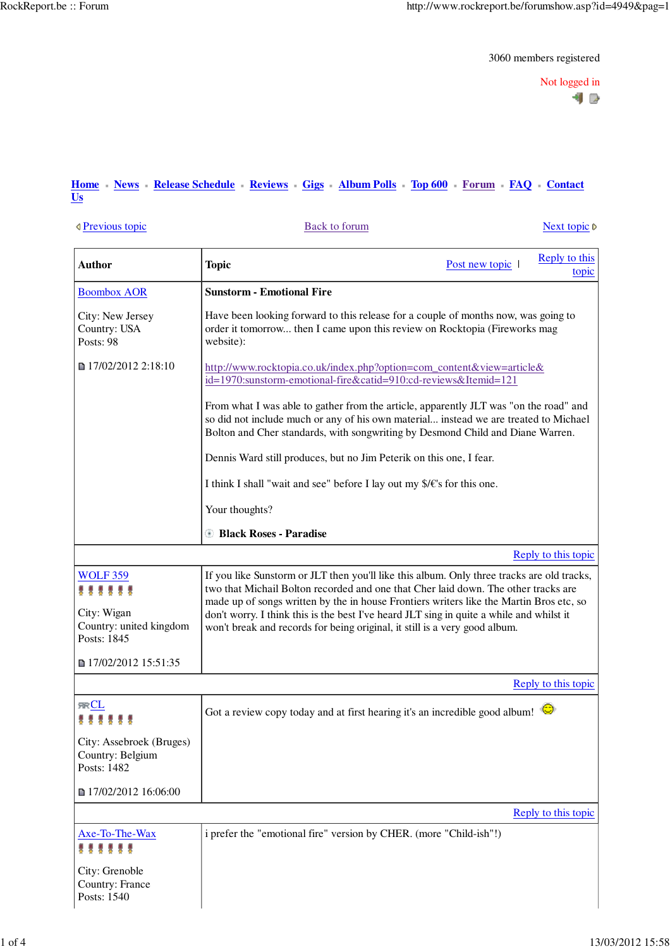3060 members registered

Not logged in  $\blacksquare$ 

## **Home News Release Schedule Reviews Gigs Album Polls Top 600 Forum FAQ Contact Us**

**Previous topic** Back to forum **Previous topic D Next topic P** 

**Author Topic Post new topic Reply to this** topic Boombox AOR **Sunstorm - Emotional Fire** City: New Jersey Have been looking forward to this release for a couple of months now, was going to order it tomorrow... then I came upon this review on Rocktopia (Fireworks mag Country: USA Posts: 98 website): 17/02/2012 2:18:10 http://www.rocktopia.co.uk/index.php?option=com\_content&view=article& id=1970:sunstorm-emotional-fire&catid=910:cd-reviews&Itemid=121 From what I was able to gather from the article, apparently JLT was "on the road" and so did not include much or any of his own material... instead we are treated to Michael Bolton and Cher standards, with songwriting by Desmond Child and Diane Warren. Dennis Ward still produces, but no Jim Peterik on this one, I fear. I think I shall "wait and see" before I lay out my  $\frac{f}{g}\mathcal{E}$ 's for this one. Your thoughts? **Black Roses - Paradise** Reply to this topic WOLF 359 If you like Sunstorm or JLT then you'll like this album. Only three tracks are old tracks, two that Michail Bolton recorded and one that Cher laid down. The other tracks are ,,,,,, made up of songs written by the in house Frontiers writers like the Martin Bros etc, so City: Wigan don't worry. I think this is the best I've heard JLT sing in quite a while and whilst it Country: united kingdom won't break and records for being original, it still is a very good album. Posts: 1845 17/02/2012 15:51:35 Reply to this topic **FRCL** Got a review copy today and at first hearing it's an incredible good album!  $\bigcirc$ \*\*\*\*\*\* City: Assebroek (Bruges) Country: Belgium Posts: 1482 17/02/2012 16:06:00 Reply to this topic i prefer the "emotional fire" version by CHER. (more "Child-ish"!) Axe-To-The-Wax 要要要要要要 City: Grenoble Country: France Posts: 1540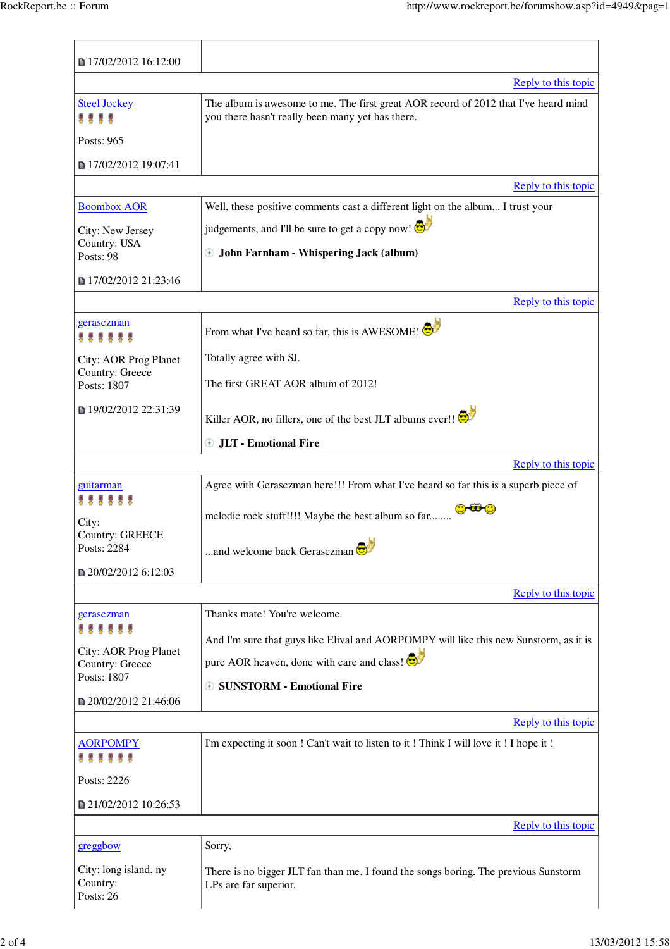| 17/02/2012 16:12:00                                            |                                                                                                                                         |
|----------------------------------------------------------------|-----------------------------------------------------------------------------------------------------------------------------------------|
|                                                                | Reply to this topic                                                                                                                     |
| <b>Steel Jockey</b><br>.                                       | The album is awesome to me. The first great AOR record of 2012 that I've heard mind<br>you there hasn't really been many yet has there. |
| Posts: 965                                                     |                                                                                                                                         |
| 17/02/2012 19:07:41                                            |                                                                                                                                         |
|                                                                | Reply to this topic                                                                                                                     |
| <b>Boombox AOR</b>                                             | Well, these positive comments cast a different light on the album I trust your                                                          |
| City: New Jersey<br>Country: USA<br>Posts: 98                  | judgements, and I'll be sure to get a copy now!<br>John Farnham - Whispering Jack (album)                                               |
| 17/02/2012 21:23:46                                            |                                                                                                                                         |
|                                                                | Reply to this topic                                                                                                                     |
| gerasczman<br>栗 栗                                              | From what I've heard so far, this is AWESOME!                                                                                           |
| City: AOR Prog Planet                                          | Totally agree with SJ.                                                                                                                  |
| Country: Greece<br>Posts: 1807                                 | The first GREAT AOR album of 2012!                                                                                                      |
| ■ 19/02/2012 22:31:39                                          | Killer AOR, no fillers, one of the best JLT albums ever!!                                                                               |
|                                                                | <b>JLT</b> - Emotional Fire                                                                                                             |
|                                                                | Reply to this topic                                                                                                                     |
| guitarman                                                      | Agree with Gerasczman here!!! From what I've heard so far this is a superb piece of                                                     |
| City:                                                          | ⊙®∩<br>melodic rock stuff!!!! Maybe the best album so far                                                                               |
| <b>Country: GREECE</b><br>Posts: 2284                          | <b>Security</b><br>and welcome back Gerasczman $\bigodot$                                                                               |
| 12:03∶20/02/2012 ₪                                             |                                                                                                                                         |
|                                                                | Reply to this topic                                                                                                                     |
| gerasczman                                                     | Thanks mate! You're welcome.                                                                                                            |
| 昊 昊<br>City: AOR Prog Planet<br>Country: Greece<br>Posts: 1807 | And I'm sure that guys like Elival and AORPOMPY will like this new Sunstorm, as it is                                                   |
|                                                                | pure AOR heaven, done with care and class!                                                                                              |
| 1:46:06 20/02/2012 ₪                                           | SUNSTORM - Emotional Fire                                                                                                               |
|                                                                | Reply to this topic                                                                                                                     |
| <b>AORPOMPY</b><br>.<br>.                                      | I'm expecting it soon ! Can't wait to listen to it ! Think I will love it ! I hope it !                                                 |
| Posts: 2226                                                    |                                                                                                                                         |
| 10:26:53 21/02/2012                                            |                                                                                                                                         |
|                                                                | Reply to this topic                                                                                                                     |
| greggbow                                                       | Sorry,                                                                                                                                  |
| City: long island, ny<br>Country:<br>Posts: 26                 | There is no bigger JLT fan than me. I found the songs boring. The previous Sunstorm<br>LPs are far superior.                            |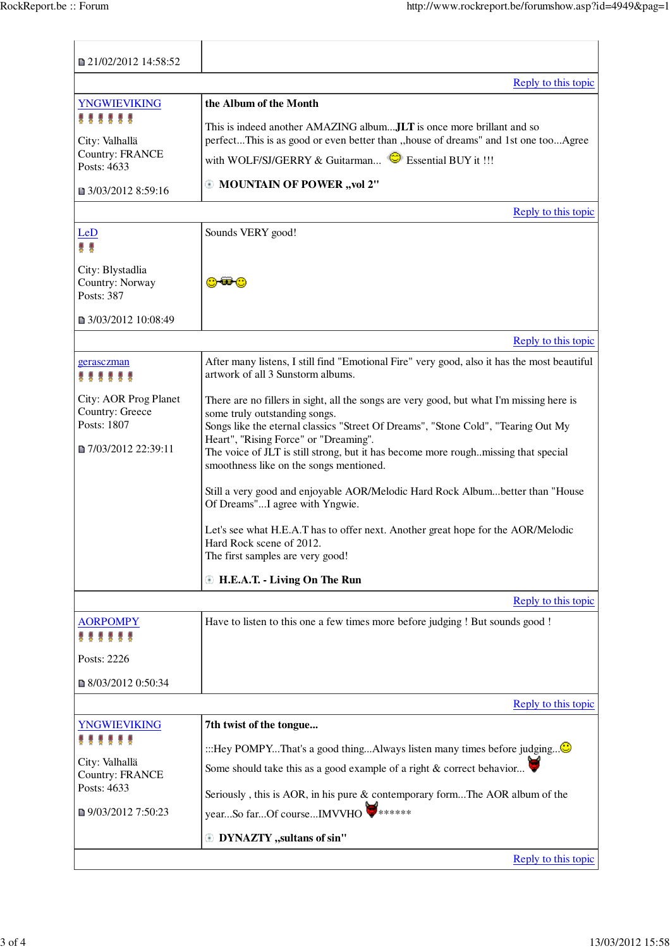| 14:58:52 21/02/2012                                                                                             |                                                                                                                                                                                                                                                                                                                                                                                            |
|-----------------------------------------------------------------------------------------------------------------|--------------------------------------------------------------------------------------------------------------------------------------------------------------------------------------------------------------------------------------------------------------------------------------------------------------------------------------------------------------------------------------------|
|                                                                                                                 | Reply to this topic                                                                                                                                                                                                                                                                                                                                                                        |
| <b>YNGWIEVIKING</b><br>,,,,,,<br>City: Valhallä<br><b>Country: FRANCE</b><br>Posts: 4633<br>■ 3/03/2012 8:59:16 | the Album of the Month<br>This is indeed another AMAZING albumJLT is once more brillant and so<br>perfectThis is as good or even better than "house of dreams" and 1st one tooAgree<br>with WOLF/SJ/GERRY & Guitarman S Essential BUY it !!!<br><sup>1</sup> MOUNTAIN OF POWER "vol 2"                                                                                                     |
|                                                                                                                 | Reply to this topic                                                                                                                                                                                                                                                                                                                                                                        |
| LeD<br>55<br>City: Blystadlia<br>Country: Norway                                                                | Sounds VERY good!<br>ा कर                                                                                                                                                                                                                                                                                                                                                                  |
| Posts: 387<br>10:08:49 3/03/2012                                                                                |                                                                                                                                                                                                                                                                                                                                                                                            |
|                                                                                                                 | Reply to this topic                                                                                                                                                                                                                                                                                                                                                                        |
| gerasczman<br>,,,,,,                                                                                            | After many listens, I still find "Emotional Fire" very good, also it has the most beautiful<br>artwork of all 3 Sunstorm albums.                                                                                                                                                                                                                                                           |
| City: AOR Prog Planet<br>Country: Greece<br>Posts: 1807<br>■ 7/03/2012 22:39:11                                 | There are no fillers in sight, all the songs are very good, but what I'm missing here is<br>some truly outstanding songs.<br>Songs like the eternal classics "Street Of Dreams", "Stone Cold", "Tearing Out My<br>Heart", "Rising Force" or "Dreaming".<br>The voice of JLT is still strong, but it has become more rough. missing that special<br>smoothness like on the songs mentioned. |
|                                                                                                                 | Still a very good and enjoyable AOR/Melodic Hard Rock Albumbetter than "House<br>Of Dreams"I agree with Yngwie.                                                                                                                                                                                                                                                                            |
|                                                                                                                 | Let's see what H.E.A.T has to offer next. Another great hope for the AOR/Melodic<br>Hard Rock scene of 2012.<br>The first samples are very good!                                                                                                                                                                                                                                           |
|                                                                                                                 | <b>E.A.T.</b> - Living On The Run                                                                                                                                                                                                                                                                                                                                                          |
|                                                                                                                 | Reply to this topic                                                                                                                                                                                                                                                                                                                                                                        |
| <b>AORPOMPY</b><br>Posts: 2226<br>■ 8/03/2012 0:50:34                                                           | Have to listen to this one a few times more before judging ! But sounds good !                                                                                                                                                                                                                                                                                                             |
|                                                                                                                 | Reply to this topic                                                                                                                                                                                                                                                                                                                                                                        |
| <b>YNGWIEVIKING</b><br>異 昊<br>City: Valhallä<br><b>Country: FRANCE</b>                                          | 7th twist of the tongue<br>:::Hey POMPYThat's a good thingAlways listen many times before judging $\bigcirc$<br>Some should take this as a good example of a right $&$ correct behavior                                                                                                                                                                                                    |
| Posts: 4633<br>■ 9/03/2012 7:50:23                                                                              | Seriously, this is AOR, in his pure & contemporary formThe AOR album of the<br><b>*</b> ******<br>yearSo farOf courseIMVVHO                                                                                                                                                                                                                                                                |
|                                                                                                                 | <sup>1</sup> DYNAZTY "sultans of sin"                                                                                                                                                                                                                                                                                                                                                      |
|                                                                                                                 | Reply to this topic                                                                                                                                                                                                                                                                                                                                                                        |